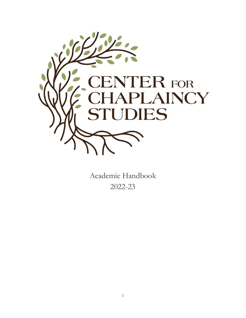

Academic Handbook 2022-23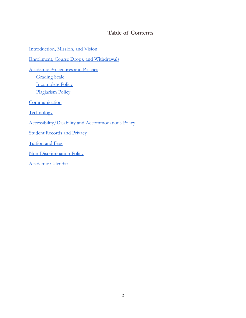# **Table of Contents**

[Introduction,](#page-2-0) Mission, and Vision Enrollment, Course Drops, and [Withdrawals](#page-3-0) Academic [Procedures](#page-3-1) and Policies **[Grading](#page-3-2) Scale** [Incomplete](#page-4-0) Policy [Plagiarism](#page-4-1) Policy **[Communication](#page-4-2) [Technology](#page-4-3)** [Accessibility/Disability](#page-5-0) and Accommodations Policy Student [Records](#page-5-1) and Privacy [Tuition](#page-6-0) and Fees [Non-Discrimination](#page-6-1) Policy [Academic](#page-6-2) Calendar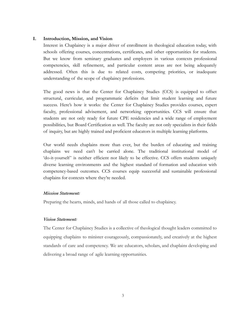### <span id="page-2-0"></span>**I. Introduction, Mission, and Vision**

Interest in Chaplaincy is a major driver of enrollment in theological education today, with schools offering courses, concentrations, certificates, and other opportunities for students. But we know from seminary graduates and employers in various contexts professional competencies, skill refinement, and particular content areas are not being adequately addressed. Often this is due to related costs, competing priorities, or inadequate understanding of the scope of chaplaincy professions.

The good news is that the Center for Chaplaincy Studies (CCS) is equipped to offset structural, curricular, and programmatic deficits that limit student learning and future success. Here's how it works: the Center for Chaplaincy Studies provides courses, expert faculty, professional advisement, and networking opportunities. CCS will ensure that students are not only ready for future CPE residencies and a wide range of employment possibilities, but Board Certification as well. The faculty are not only specialists in their fields of inquiry, but are highly trained and proficient educators in multiple learning platforms.

Our world needs chaplains more than ever, but the burden of educating and training chaplains we need can't be carried alone. The traditional institutional model of 'do-it-yourself' is neither efficient nor likely to be effective. CCS offers students uniquely diverse learning environments and the highest standard of formation and education with competency-based outcomes. CCS courses equip successful and sustainable professional chaplains for contexts where they're needed.

#### *Mission Statement:*

Preparing the hearts, minds, and hands of all those called to chaplaincy.

#### *Vision Statement:*

The Center for Chaplaincy Studies is a collective of theological thought leaders committed to equipping chaplains to minister courageously, compassionately, and creatively at the highest standards of care and competency. We are educators, scholars, and chaplains developing and delivering a broad range of agile learning opportunities.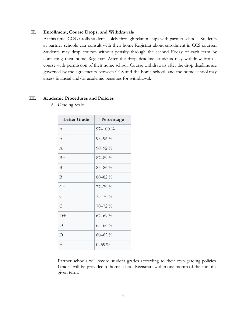#### <span id="page-3-0"></span>**II. Enrollment, Course Drops, and Withdrawals**

At this time, CCS enrolls students solely through relationships with partner schools. Students at partner schools can consult with their home Registrar about enrollment in CCS courses. Students may drop courses without penalty through the second Friday of each term by contacting their home Registrar. After the drop deadline, students may withdraw from a course with permission of their home school. Course withdrawals after the drop deadline are governed by the agreements between CCS and the home school, and the home school may assess financial and/or academic penalties for withdrawal.

#### <span id="page-3-2"></span><span id="page-3-1"></span>**III. Academic Procedures and Policies**

| <b>Letter Grade</b> | Percentage   |
|---------------------|--------------|
| $A+$                | $97 - 100\%$ |
| A                   | $93 - 96\%$  |
| $A -$               | $90 - 92\%$  |
| $B+$                | $87 - 89\%$  |
| B                   | $83 - 86\%$  |
| $B -$               | $80 - 82\%$  |
| $C+$                | $77 - 79%$   |
| $\overline{C}$      | $73 - 76\%$  |
| $C-$                | $70 - 72\%$  |
| $D+$                | $67 - 69\%$  |
| D                   | $63 - 66\%$  |
| $D-$                | $60 - 62\%$  |
| F                   | $0 - 59\%$   |

A. Grading Scale

Partner schools will record student grades according to their own grading policies. Grades will be provided to home school Registrars within one month of the end of a given term.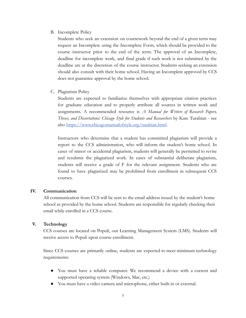## <span id="page-4-0"></span>B. Incomplete Policy

Students who seek an extension on coursework beyond the end of a given term may request an Incomplete using the Incomplete Form, which should be provided to the course instructor prior to the end of the term. The approval of an Incomplete, deadline for incomplete work, and final grade if such work is not submitted by the deadline are at the discretion of the course instructor. Students seeking an extension should also consult with their home school. Having an Incomplete approved by CCS does not guarantee approval by the home school.

<span id="page-4-1"></span>C. Plagiarism Policy

Students are expected to familiarize themselves with appropriate citation practices for graduate education and to properly attribute all sources in written work and assignments. A recommended resource is *A Manual for Writers of Research Papers, Theses, and Dissertations: Chicago Style for Students and Researchers* by Kate Turabian - see also <https://www.chicagomanualofstyle.org/turabian.html>.

Instructors who determine that a student has committed plagiarism will provide a report to the CCS administration, who will inform the student's home school. In cases of minor or accidental plagiarism, students will generally be permitted to revise and resubmit the plagiarized work. In cases of substantial deliberate plagiarism, students will receive a grade of F for the relevant assignment. Students who are found to have plagiarized may be prohibited from enrollment in subsequent CCS courses.

# <span id="page-4-2"></span>**IV. Communication**

All communication from CCS will be sent to the email address issued by the student's home school as provided by the home school. Students are responsible for regularly checking their email while enrolled in a CCS course.

### <span id="page-4-3"></span>**V. Technology**

CCS courses are located on Populi, our Learning Management System (LMS). Students will receive access to Populi upon course enrollment.

Since CCS courses are primarily online, students are expected to meet minimum technology requirements:

- You must have a reliable computer. We recommend a device with a current and supported operating system (Windows, Mac, etc.)
- You must have a video camera and microphone, either built-in or external.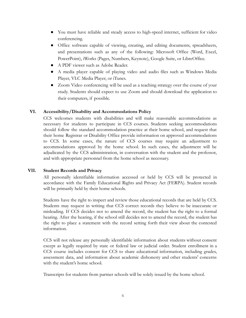- You must have reliable and steady access to high-speed internet, sufficient for video conferencing.
- Office software capable of viewing, creating, and editing documents, spreadsheets, and presentations such as any of the following: Microsoft Office (Word, Excel, PowerPoint), iWorks (Pages, Numbers, Keynote), Google Suite, or LibreOffice.
- A PDF viewer such as Adobe Reader.
- A media player capable of playing video and audio files such as Windows Media Player, VLC Media Player, or iTunes.
- Zoom Video conferencing will be used as a teaching strategy over the course of your study. Students should expect to use Zoom and should download the application to their computers, if possible.

# <span id="page-5-0"></span>**VI. Accessibility/Disability and Accommodations Policy**

CCS welcomes students with disabilities and will make reasonable accommodations as necessary for students to participate in CCS courses. Students seeking accommodations should follow the standard accommodation practice at their home school, and request that their home Registrar or Disability Office provide information on approved accommodations to CCS. In some cases, the nature of CCS courses may require an adjustment to accommodations approved by the home school. In such cases, the adjustment will be adjudicated by the CCS administration, in conversation with the student and the professor, and with appropriate personnel from the home school as necessary.

# <span id="page-5-1"></span>**VII. Student Records and Privacy**

All personally identifiable information accessed or held by CCS will be protected in accordance with the Family Educational Rights and Privacy Act (FERPA). Student records will be primarily held by their home schools.

Students have the right to inspect and review those educational records that are held by CCS. Students may request in writing that CCS correct records they believe to be inaccurate or misleading. If CCS decides not to amend the record, the student has the right to a formal hearing. After the hearing, if the school still decides not to amend the record, the student has the right to place a statement with the record setting forth their view about the contested information.

CCS will not release any personally identifiable information about students without consent except as legally required by state or federal law or judicial order. Student enrollment in a CCS course includes consent for CCS to share educational information, including grades, assessment data, and information about academic dishonesty and other students' concerns with the student's home school.

Transcripts for students from partner schools will be solely issued by the home school.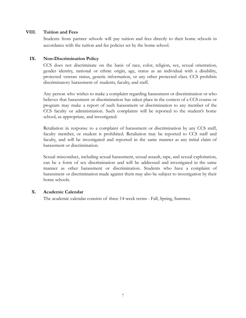### <span id="page-6-0"></span>**VIII. Tuition and Fees**

Students from partner schools will pay tuition and fees directly to their home schools in accordance with the tuition and fee policies set by the home school.

## <span id="page-6-1"></span>**IX. Non-Discrimination Policy**

CCS does not discriminate on the basis of race, color, religion, sex, sexual orientation, gender identity, national or ethnic origin, age, status as an individual with a disability, protected veteran status, genetic information, or any other protected class. CCS prohibits discriminatory harassment of students, faculty, and staff.

Any person who wishes to make a complaint regarding harassment or discrimination or who believes that harassment or discrimination has taken place in the context of a CCS course or program may make a report of such harassment or discrimination to any member of the CCS faculty or administration. Such complaints will be reported to the student's home school, as appropriate, and investigated.

Retaliation in response to a complaint of harassment or discrimination by any CCS staff, faculty member, or student is prohibited. Retaliation may be reported to CCS staff and faculty, and will be investigated and reported in the same manner as any initial claim of harassment or discrimination.

Sexual misconduct, including sexual harassment, sexual assault, rape, and sexual exploitation, can be a form of sex discrimination and will be addressed and investigated in the same manner as other harassment or discrimination. Students who have a complaint of harassment or discrimination made against them may also be subject to investigation by their home schools.

### <span id="page-6-2"></span>**X. Academic Calendar**

The academic calendar consists of three 14-week terms - Fall, Spring, Summer.